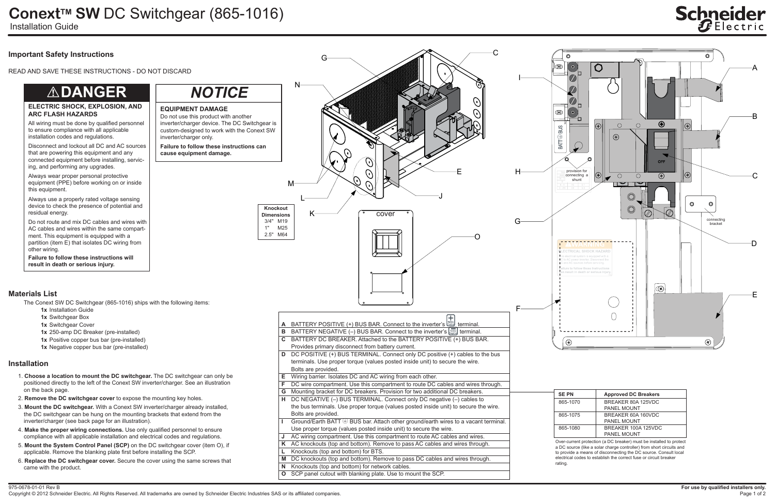975-0678-01-01 Rev B

Copyright © 2012 Schneider Electric. All Rights Reserved. All trademarks are owned by Schneider Electric Industries SAS or its affiliated companies.

## **ConextTM SW** DC Switchgear (865-1016)

Installation Guide

### **Important Safety Instructions**

READ AND SAVE THESE INSTRUCTIONS - DO NOT DISCARD

### **Installation**

- 1. **Choose a location to mount the DC switchgear.** The DC switchgear can only be positioned directly to the left of the Conext SW inverter/charger. See an illustration on the back page.
- 2. **Remove the DC switchgear cover** to expose the mounting key holes.
- 3. **Mount the DC switchgear.** With a Conext SW inverter/charger already installed, the DC switchgear can be hung on the mounting brackets that extend from the inverter/charger (see back page for an illustration).
- 4. **Make the proper wiring connections.** Use only qualified personnel to ensure compliance with all applicable installation and electrical codes and regulations.
- 5. **Mount the System Control Panel (SCP)** on the DC switchgear cover (item O), if applicable. Remove the blanking plate first before installing the SCP.
- 6. **Replace the DC switchgear cover.** Secure the cover using the same screws that came with the product.



**L** Knockouts (top and bottom) for BTS.

**M** DC knockouts (top and bottom). Remove to pass DC cables and wires through.

# **Schneider**

| Ν    | <b>Approved DC Breakers</b> |
|------|-----------------------------|
| 1070 | BREAKER 80A 125VDC          |
|      | <b>PANEL MOUNT</b>          |
| 1075 | BREAKER 60A 160VDC          |
|      | PANEL MOUNT                 |
| 1080 | BREAKER 100A 125VDC         |
|      | <b>PANEL MOUNT</b>          |

**N** Knockouts (top and bottom) for network cables.

**O** SCP panel cutout with blanking plate. Use to mount the SCP.

- **1x** Installation Guide
- **1x** Switchgear Box
- **1x** Switchgear Cover
- **1x** 250-amp DC Breaker (pre-installed)
- **1x** Positive copper bus bar (pre-installed)
- **1x** Negative copper bus bar (pre-installed)

### **ELECTRIC SHOCK, EXPLOSION, AND ARC FLASH HAZARDS**

**Failure to follow these instructions will result in death or serious injury.**

All wiring must be done by qualified personnel to ensure compliance with all applicable installation codes and regulations.

Disconnect and lockout all DC and AC sources that are powering this equipment and any connected equipment before installing, servicing, and performing any upgrades.

Always wear proper personal protective equipment (PPE) before working on or inside this equipment.

Always use a properly rated voltage sensing device to check the presence of potential and residual energy.

Do not route and mix DC cables and wires with AC cables and wires within the same compartment. This equipment is equipped with a partition (item E) that isolates DC wiring from other wiring.

## !**DANGER**

### **Materials List**

The Conext SW DC Switchgear (865-1016) ships with the following items:

**EQUIPMENT DAMAGE**

**Failure to follow these instructions can** 

**cause equipment damage.**

Do not use this product with another

inverter/charger only.

*NOTICE*

a DC source (like a solar charge controller) from short circuits and to provide a means of disconnecting the DC source. Consult local electrical codes to establish the correct fuse or circuit breaker

rating.